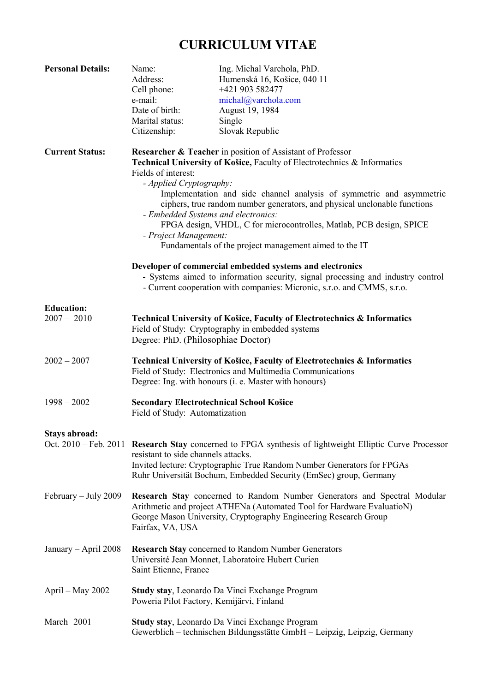## **CURRICULUM VITAE**

| <b>Personal Details:</b>           | Name:<br>Address:<br>Cell phone:<br>e-mail:<br>Date of birth:<br>Marital status:<br>Citizenship:                                                                                                                                                                                                                                                                                                                                                                                                                                                          | Ing. Michal Varchola, PhD.<br>Humenská 16, Košice, 040 11<br>+421 903 582477<br>michal@varchola.com<br>August 19, 1984<br>Single<br>Slovak Republic |  |  |  |
|------------------------------------|-----------------------------------------------------------------------------------------------------------------------------------------------------------------------------------------------------------------------------------------------------------------------------------------------------------------------------------------------------------------------------------------------------------------------------------------------------------------------------------------------------------------------------------------------------------|-----------------------------------------------------------------------------------------------------------------------------------------------------|--|--|--|
| <b>Current Status:</b>             | <b>Researcher &amp; Teacher</b> in position of Assistant of Professor<br>Technical University of Košice, Faculty of Electrotechnics & Informatics<br>Fields of interest:<br>- Applied Cryptography:<br>Implementation and side channel analysis of symmetric and asymmetric<br>ciphers, true random number generators, and physical unclonable functions<br>- Embedded Systems and electronics:<br>FPGA design, VHDL, C for microcontrolles, Matlab, PCB design, SPICE<br>- Project Management:<br>Fundamentals of the project management aimed to the IT |                                                                                                                                                     |  |  |  |
|                                    | Developer of commercial embedded systems and electronics<br>- Systems aimed to information security, signal processing and industry control<br>- Current cooperation with companies: Micronic, s.r.o. and CMMS, s.r.o.                                                                                                                                                                                                                                                                                                                                    |                                                                                                                                                     |  |  |  |
| <b>Education:</b><br>$2007 - 2010$ | Technical University of Košice, Faculty of Electrotechnics & Informatics<br>Field of Study: Cryptography in embedded systems<br>Degree: PhD. (Philosophiae Doctor)                                                                                                                                                                                                                                                                                                                                                                                        |                                                                                                                                                     |  |  |  |
| $2002 - 2007$                      | Technical University of Košice, Faculty of Electrotechnics & Informatics<br>Field of Study: Electronics and Multimedia Communications<br>Degree: Ing. with honours (i. e. Master with honours)                                                                                                                                                                                                                                                                                                                                                            |                                                                                                                                                     |  |  |  |
| $1998 - 2002$                      | <b>Secondary Electrotechnical School Košice</b><br>Field of Study: Automatization                                                                                                                                                                                                                                                                                                                                                                                                                                                                         |                                                                                                                                                     |  |  |  |
| Stays abroad:                      | Oct. 2010 – Feb. 2011 Research Stay concerned to FPGA synthesis of lightweight Elliptic Curve Processor<br>resistant to side channels attacks.<br>Invited lecture: Cryptographic True Random Number Generators for FPGAs<br>Ruhr Universität Bochum, Embedded Security (EmSec) group, Germany                                                                                                                                                                                                                                                             |                                                                                                                                                     |  |  |  |
| $February - July 2009$             | <b>Research Stay</b> concerned to Random Number Generators and Spectral Modular<br>Arithmetic and project ATHENa (Automated Tool for Hardware EvaluatioN)<br>George Mason University, Cryptography Engineering Research Group<br>Fairfax, VA, USA                                                                                                                                                                                                                                                                                                         |                                                                                                                                                     |  |  |  |
| January - April 2008               | <b>Research Stay concerned to Random Number Generators</b><br>Université Jean Monnet, Laboratoire Hubert Curien<br>Saint Etienne, France                                                                                                                                                                                                                                                                                                                                                                                                                  |                                                                                                                                                     |  |  |  |
| April – May 2002                   | Study stay, Leonardo Da Vinci Exchange Program<br>Poweria Pilot Factory, Kemijärvi, Finland                                                                                                                                                                                                                                                                                                                                                                                                                                                               |                                                                                                                                                     |  |  |  |
| March 2001                         | Study stay, Leonardo Da Vinci Exchange Program<br>Gewerblich – technischen Bildungsstätte GmbH – Leipzig, Leipzig, Germany                                                                                                                                                                                                                                                                                                                                                                                                                                |                                                                                                                                                     |  |  |  |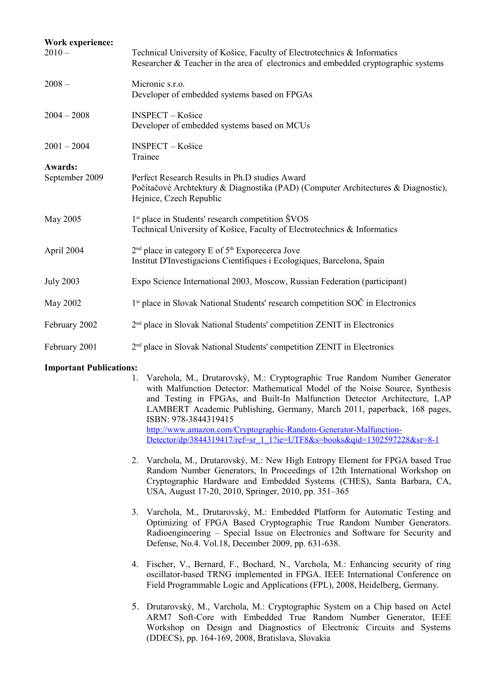| Work experience:<br>$2010 -$     | Technical University of Košice, Faculty of Electrotechnics & Informatics<br>Researcher & Teacher in the area of electronics and embedded cryptographic systems |  |  |  |  |
|----------------------------------|----------------------------------------------------------------------------------------------------------------------------------------------------------------|--|--|--|--|
| $2008 -$                         | Micronic s.r.o.<br>Developer of embedded systems based on FPGAs                                                                                                |  |  |  |  |
| $2004 - 2008$                    | <b>INSPECT</b> – Košice<br>Developer of embedded systems based on MCUs                                                                                         |  |  |  |  |
| $2001 - 2004$                    | <b>INSPECT - Košice</b><br>Trainee                                                                                                                             |  |  |  |  |
| <b>Awards:</b><br>September 2009 | Perfect Research Results in Ph.D studies Award<br>Počítačové Archtektury & Diagnostika (PAD) (Computer Architectures & Diagnostic),<br>Hejnice, Czech Republic |  |  |  |  |
| May 2005                         | 1 <sup>st</sup> place in Students' research competition ŠVOS<br>Technical University of Košice, Faculty of Electrotechnics & Informatics                       |  |  |  |  |
| April 2004                       | 2 <sup>nd</sup> place in category E of 5 <sup>th</sup> Exporecerca Jove<br>Institut D'Investigacions Científiques i Ecologiques, Barcelona, Spain              |  |  |  |  |
| <b>July 2003</b>                 | Expo Science International 2003, Moscow, Russian Federation (participant)                                                                                      |  |  |  |  |
| May 2002                         | 1 <sup>st</sup> place in Slovak National Students' research competition SOC in Electronics                                                                     |  |  |  |  |
| February 2002                    | 2 <sup>nd</sup> place in Slovak National Students' competition ZENIT in Electronics                                                                            |  |  |  |  |
| February 2001                    | 2 <sup>nd</sup> place in Slovak National Students' competition ZENIT in Electronics                                                                            |  |  |  |  |

## **Important Publications:**

- 1. Varchola, M., Drutarovský, M.: Cryptographic True Random Number Generator with Malfunction Detector: Mathematical Model of the Noise Source, Synthesis and Testing in FPGAs, and Built-In Malfunction Detector Architecture, LAP LAMBERT Academic Publishing, Germany, March 2011, paperback, 168 pages, ISBN: 978-3844319415 [http://www.amazon.com/Cryptographic-Random-Generator-Malfunction-](http://www.amazon.com/Cryptographic-Random-Generator-Malfunction-Detector/dp/3844319417/ref=sr_1_1?ie=UTF8&s=books&qid=1302597228&sr=8-1)[Detector/dp/3844319417/ref=sr\\_1\\_1?ie=UTF8&s=books&qid=1302597228&sr=8-1](http://www.amazon.com/Cryptographic-Random-Generator-Malfunction-Detector/dp/3844319417/ref=sr_1_1?ie=UTF8&s=books&qid=1302597228&sr=8-1)
	- 2. Varchola, M., Drutarovský, M.: New High Entropy Element for FPGA based True Random Number Generators, In Proceedings of 12th International Workshop on Cryptographic Hardware and Embedded Systems (CHES), Santa Barbara, CA, USA, August 17-20, 2010, Springer, 2010, pp. 351–365
	- 3. Varchola, M., Drutarovský, M.: Embedded Platform for Automatic Testing and Optimizing of FPGA Based Cryptographic True Random Number Generators. Radioengineering – Special Issue on Electronics and Software for Security and Defense, No.4. Vol.18, December 2009, pp. 631-638.
	- 4. Fischer, V., Bernard, F., Bochard, N., Varchola, M.: Enhancing security of ring oscillator-based TRNG implemented in FPGA. IEEE International Conference on Field Programmable Logic and Applications (FPL), 2008, Heidelberg, Germany.
	- 5. Drutarovský, M., Varchola, M.: Cryptographic System on a Chip based on Actel ARM7 Soft-Core with Embedded True Random Number Generator, IEEE Workshop on Design and Diagnostics of Electronic Circuits and Systems (DDECS), pp. 164-169, 2008, Bratislava, Slovakia